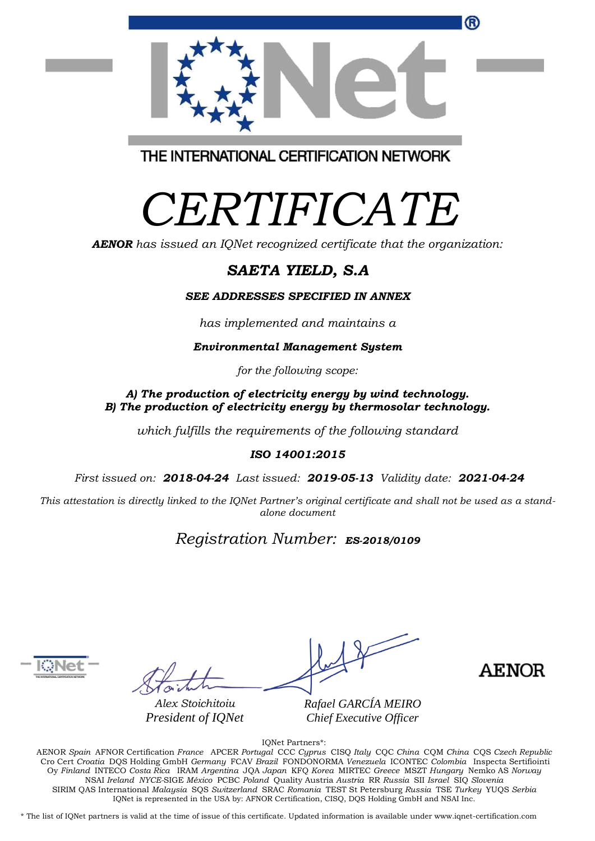

# *CERTIFICATE*

*AENOR has issued an IQNet recognized certificate that the organization:*

## *SAETA YIELD, S.A*

*SEE ADDRESSES SPECIFIED IN ANNEX*

*has implemented and maintains a*

*Environmental Management System*

*for the following scope:* 

#### *A) The production of electricity energy by wind technology. B) The production of electricity energy by thermosolar technology.*

*which fulfills the requirements of the following standard*

### *ISO 14001:2015*

*First issued on: 2018-04-24 Last issued: 2019-05-13 Validity date: 2021-04-24*

*This attestation is directly linked to the IQNet Partner's original certificate and shall not be used as a standalone document*

## *Registration Number: ES-2018/0109*



*Alex Stoichitoiu President of IQNet* *Rafael GARCÍA MEIRO Chief Executive Officer*

**AENOR** 

IQNet Partners\*:

AENOR *Spain* AFNOR Certification *France* APCER *Portugal* CCC *Cyprus* CISQ *Italy* CQC *China* CQM *China* CQS *Czech Republic* Cro Cert *Croatia* DQS Holding GmbH *Germany* FCAV *Brazil* FONDONORMA *Venezuela* ICONTEC *Colombia* Inspecta Sertifiointi Oy *Finland* INTECO *Costa Rica* IRAM *Argentina* JQA *Japan* KFQ *Korea* MIRTEC *Greece* MSZT *Hungary* Nemko AS *Norway*  NSAI *Ireland NYCE-*SIGE *México* PCBC *Poland* Quality Austria *Austria* RR *Russia* SII *Israel* SIQ *Slovenia*  SIRIM QAS International *Malaysia* SQS *Switzerland* SRAC *Romania* TEST St Petersburg *Russia* TSE *Turkey* YUQS *Serbia* IQNet is represented in the USA by: AFNOR Certification, CISQ, DQS Holding GmbH and NSAI Inc.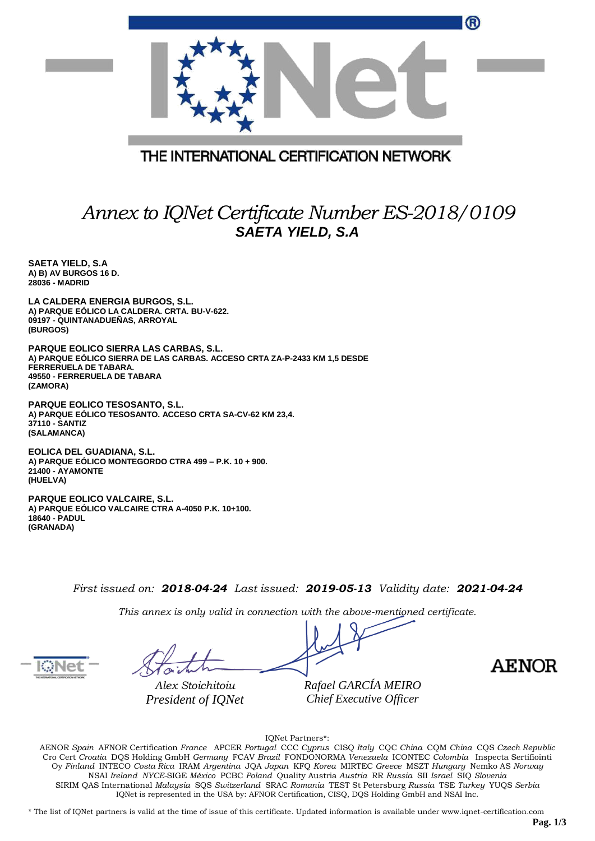| w                                                                         |
|---------------------------------------------------------------------------|
|                                                                           |
| THE INTERNATIONAL CERTIFICATION NETWORK                                   |
| Annex to IQNet Certificate Number ES-2018/0109<br><b>SAETA YIELD, S.A</b> |

**SAETA YIELD, S.A A) B) AV BURGOS 16 D. 28036 - MADRID**

**LA CALDERA ENERGIA BURGOS, S.L. A) PARQUE EÓLICO LA CALDERA. CRTA. BU-V-622. 09197 - QUINTANADUEÑAS, ARROYAL (BURGOS)**

**PARQUE EOLICO SIERRA LAS CARBAS, S.L. A) PARQUE EÓLICO SIERRA DE LAS CARBAS. ACCESO CRTA ZA-P-2433 KM 1,5 DESDE FERRERUELA DE TABARA. 49550 - FERRERUELA DE TABARA (ZAMORA)**

*President of IQNet*

**PARQUE EOLICO TESOSANTO, S.L. A) PARQUE EÓLICO TESOSANTO. ACCESO CRTA SA-CV-62 KM 23,4. 37110 - SANTIZ (SALAMANCA)**

**EOLICA DEL GUADIANA, S.L. A) PARQUE EÓLICO MONTEGORDO CTRA 499 – P.K. 10 + 900. 21400 - AYAMONTE (HUELVA)**

**PARQUE EOLICO VALCAIRE, S.L. A) PARQUE EÓLICO VALCAIRE CTRA A-4050 P.K. 10+100. 18640 - PADUL (GRANADA)**

*First issued on: 2018-04-24 Last issued: 2019-05-13 Validity date: 2021-04-24*

*This annex is only valid in connection with the above-mentioned certificate.*

*Alex Stoichitoiu*

*Rafael GARCÍA MEIRO Chief Executive Officer*

**AENOR** 

 $\sim$ 

IQNet Partners\*:

AENOR *Spain* AFNOR Certification *France* APCER *Portugal* CCC *Cyprus* CISQ *Italy* CQC *China* CQM *China* CQS *Czech Republic*  Cro Cert *Croatia* DQS Holding GmbH *Germany* FCAV *Brazil* FONDONORMA *Venezuela* ICONTEC *Colombia* Inspecta Sertifiointi Oy *Finland* INTECO *Costa Rica* IRAM *Argentina* JQA *Japan* KFQ *Korea* MIRTEC *Greece* MSZT *Hungary* Nemko AS *Norway*  NSAI *Ireland NYCE-*SIGE *México* PCBC *Poland* Quality Austria *Austria* RR *Russia* SII *Israel* SIQ *Slovenia*  SIRIM QAS International *Malaysia* SQS *Switzerland* SRAC *Romania* TEST St Petersburg *Russia* TSE *Turkey* YUQS *Serbia* IQNet is represented in the USA by: AFNOR Certification, CISQ, DQS Holding GmbH and NSAI Inc.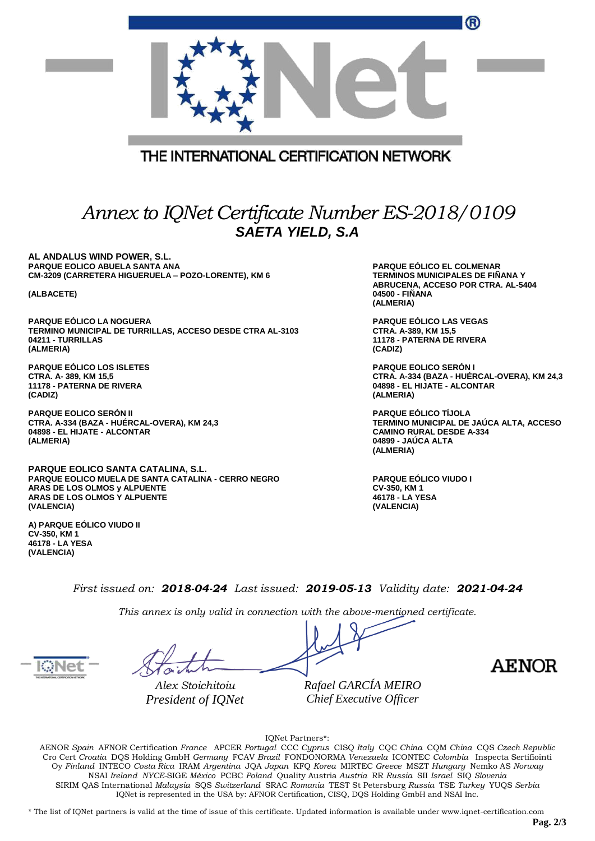|                                                                                                                                                                                | ®                                                                                                                                         |  |  |  |
|--------------------------------------------------------------------------------------------------------------------------------------------------------------------------------|-------------------------------------------------------------------------------------------------------------------------------------------|--|--|--|
| THE INTERNATIONAL CERTIFICATION NETWORK                                                                                                                                        |                                                                                                                                           |  |  |  |
| Annex to IQNet Certificate Number ES-2018/0109<br><b>SAETA YIELD, S.A</b>                                                                                                      |                                                                                                                                           |  |  |  |
| AL ANDALUS WIND POWER, S.L.<br>PARQUE EOLICO ABUELA SANTA ANA<br>CM-3209 (CARRETERA HIGUERUELA - POZO-LORENTE), KM 6<br>(ALBACETE)                                             | PARQUE EÓLICO EL COLMENAR<br><b>TERMINOS MUNICIPALES DE FIÑANA Y</b><br>ABRUCENA, ACCESO POR CTRA. AL-5404<br>04500 - FIÑANA<br>(ALMERIA) |  |  |  |
| PARQUE EÓLICO LA NOGUERA<br>TERMINO MUNICIPAL DE TURRILLAS, ACCESO DESDE CTRA AL-3103<br>04211 - TURRILLAS<br>(ALMERIA)                                                        | PARQUE EÓLICO LAS VEGAS<br>CTRA. A-389, KM 15,5<br>11178 - PATERNA DE RIVERA<br>(CADIZ)                                                   |  |  |  |
| <b>PARQUE EOLICO LOS ISLETES</b><br>CTRA. A-389, KM 15,5<br>11178 - PATERNA DE RIVERA<br>(CADIZ)                                                                               | <b>PARQUE EOLICO SERON I</b><br>CTRA. A-334 (BAZA - HUÉRCAL-OVERA), KM 24,3<br>04898 - EL HIJATE - ALCONTAR<br>(ALMERIA)                  |  |  |  |
| <b>PARQUE EOLICO SERÓN II</b><br>CTRA. A-334 (BAZA - HUERCAL-OVERA), KM 24,3<br>04898 - EL HIJATE - ALCONTAR<br>(ALMERIA)                                                      | PARQUE EÓLICO TÍJOLA<br>TERMINO MUNICIPAL DE JAÚCA ALTA, ACCESO<br><b>CAMINO RURAL DESDE A-334</b><br>04899 - JAÚCA ALTA<br>(ALMERIA)     |  |  |  |
| PARQUE EOLICO SANTA CATALINA, S.L.<br><b>PARQUE EOLICO MUELA DE SANTA CATALINA - CERRO NEGRO</b><br>ARAS DE LOS OLMOS y ALPUENTE<br>ARAS DE LOS OLMOS Y ALPUENTE<br>(VALENCIA) | <b>PARQUE EÓLICO VIUDO I</b><br>CV-350, KM 1<br>46178 - LA YESA<br>(VALENCIA)                                                             |  |  |  |
| A) PARQUE EÓLICO VIUDO II<br>CV-350, KM 1<br>46178 - LA YESA<br>(VALENCIA)                                                                                                     |                                                                                                                                           |  |  |  |
| First issued on: 2018-04-24 Last issued: 2019-05-13 Validity date: 2021-04-24                                                                                                  |                                                                                                                                           |  |  |  |
| This annex is only valid in connection with the above-mentioned certificate.<br>Rafael GARCÍA MEIRO<br>Alex Stoichitoiu<br>Chief Executive Officer<br>President of IQNet       | <b>AENOR</b>                                                                                                                              |  |  |  |

IQNet Partners\*:

AENOR *Spain* AFNOR Certification *France* APCER *Portugal* CCC *Cyprus* CISQ *Italy* CQC *China* CQM *China* CQS *Czech Republic*  Cro Cert *Croatia* DQS Holding GmbH *Germany* FCAV *Brazil* FONDONORMA *Venezuela* ICONTEC *Colombia* Inspecta Sertifiointi Oy *Finland* INTECO *Costa Rica* IRAM *Argentina* JQA *Japan* KFQ *Korea* MIRTEC *Greece* MSZT *Hungary* Nemko AS *Norway*  NSAI *Ireland NYCE-*SIGE *México* PCBC *Poland* Quality Austria *Austria* RR *Russia* SII *Israel* SIQ *Slovenia*  SIRIM QAS International *Malaysia* SQS *Switzerland* SRAC *Romania* TEST St Petersburg *Russia* TSE *Turkey* YUQS *Serbia* IQNet is represented in the USA by: AFNOR Certification, CISQ, DQS Holding GmbH and NSAI Inc.